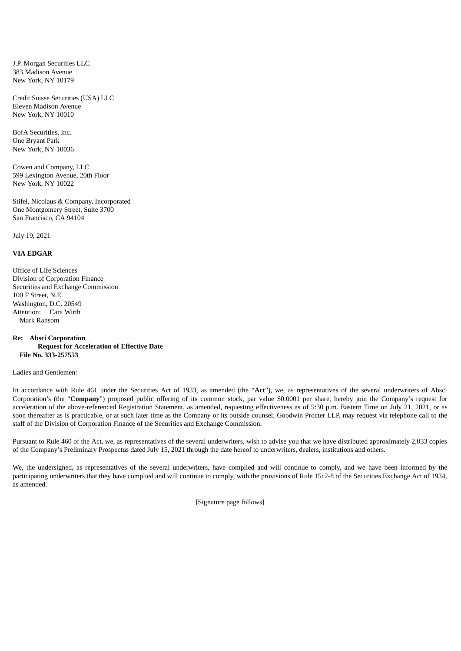J.P. Morgan Securities LLC 383 Madison Avenue New York, NY 10179

Credit Suisse Securities (USA) LLC Eleven Madison Avenue New York, NY 10010

BofA Securities, Inc. One Bryant Park New York, NY 10036

Cowen and Company, LLC 599 Lexington Avenue, 20th Floor New York, NY 10022

Stifel, Nicolaus & Company, Incorporated One Montgomery Street, Suite 3700 San Francisco, CA 94104

July 19, 2021

## **VIA EDGAR**

Office of Life Sciences Division of Corporation Finance Securities and Exchange Commission 100 F Street, N.E. Washington, D.C. 20549 Attention: Cara Wirth Mark Ransom

## **Re: Absci Corporation Request for Acceleration of Effective Date File No. 333-257553**

## Ladies and Gentlemen:

In accordance with Rule 461 under the Securities Act of 1933, as amended (the "**Act**"), we, as representatives of the several underwriters of Absci Corporation's (the "**Company**") proposed public offering of its common stock, par value \$0.0001 per share, hereby join the Company's request for acceleration of the above-referenced Registration Statement, as amended, requesting effectiveness as of 5:30 p.m. Eastern Time on July 21, 2021, or as soon thereafter as is practicable, or at such later time as the Company or its outside counsel, Goodwin Procter LLP, may request via telephone call to the staff of the Division of Corporation Finance of the Securities and Exchange Commission.

Pursuant to Rule 460 of the Act, we, as representatives of the several underwriters, wish to advise you that we have distributed approximately 2,033 copies of the Company's Preliminary Prospectus dated July 15, 2021 through the date hereof to underwriters, dealers, institutions and others.

We, the undersigned, as representatives of the several underwriters, have complied and will continue to comply, and we have been informed by the participating underwriters that they have complied and will continue to comply, with the provisions of Rule 15c2-8 of the Securities Exchange Act of 1934, as amended.

[Signature page follows]